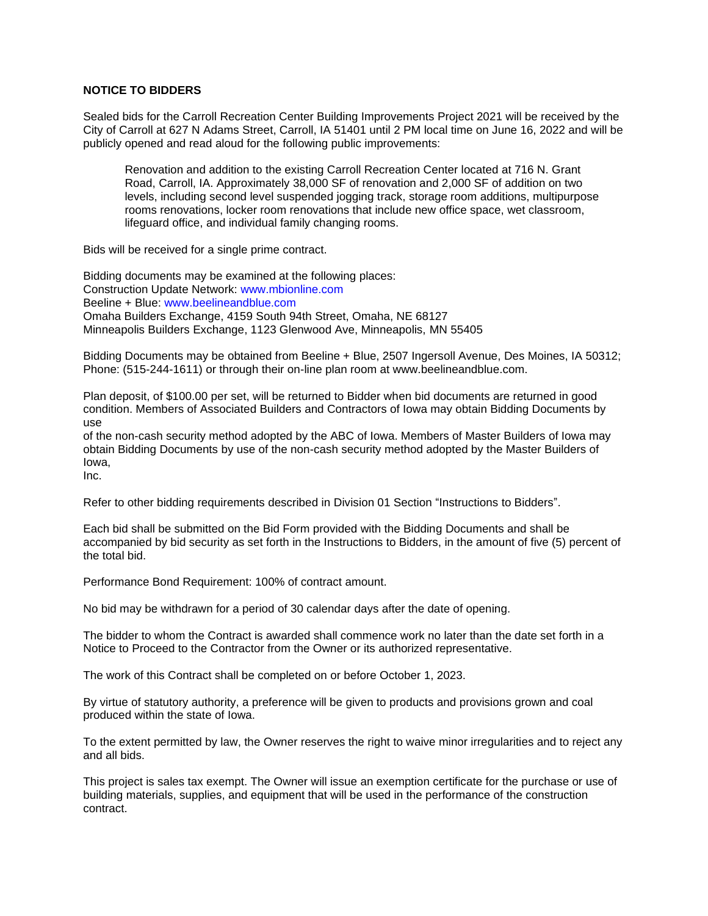## **NOTICE TO BIDDERS**

Sealed bids for the Carroll Recreation Center Building Improvements Project 2021 will be received by the City of Carroll at 627 N Adams Street, Carroll, IA 51401 until 2 PM local time on June 16, 2022 and will be publicly opened and read aloud for the following public improvements:

Renovation and addition to the existing Carroll Recreation Center located at 716 N. Grant Road, Carroll, IA. Approximately 38,000 SF of renovation and 2,000 SF of addition on two levels, including second level suspended jogging track, storage room additions, multipurpose rooms renovations, locker room renovations that include new office space, wet classroom, lifeguard office, and individual family changing rooms.

Bids will be received for a single prime contract.

Bidding documents may be examined at the following places: Construction Update Network: www.mbionline.com Beeline + Blue: www.beelineandblue.com Omaha Builders Exchange, 4159 South 94th Street, Omaha, NE 68127 Minneapolis Builders Exchange, 1123 Glenwood Ave, Minneapolis, MN 55405

Bidding Documents may be obtained from Beeline + Blue, 2507 Ingersoll Avenue, Des Moines, IA 50312; Phone: (515-244-1611) or through their on-line plan room at www.beelineandblue.com.

Plan deposit, of \$100.00 per set, will be returned to Bidder when bid documents are returned in good condition. Members of Associated Builders and Contractors of Iowa may obtain Bidding Documents by use

of the non-cash security method adopted by the ABC of Iowa. Members of Master Builders of Iowa may obtain Bidding Documents by use of the non-cash security method adopted by the Master Builders of Iowa,

Inc.

Refer to other bidding requirements described in Division 01 Section "Instructions to Bidders".

Each bid shall be submitted on the Bid Form provided with the Bidding Documents and shall be accompanied by bid security as set forth in the Instructions to Bidders, in the amount of five (5) percent of the total bid.

Performance Bond Requirement: 100% of contract amount.

No bid may be withdrawn for a period of 30 calendar days after the date of opening.

The bidder to whom the Contract is awarded shall commence work no later than the date set forth in a Notice to Proceed to the Contractor from the Owner or its authorized representative.

The work of this Contract shall be completed on or before October 1, 2023.

By virtue of statutory authority, a preference will be given to products and provisions grown and coal produced within the state of Iowa.

To the extent permitted by law, the Owner reserves the right to waive minor irregularities and to reject any and all bids.

This project is sales tax exempt. The Owner will issue an exemption certificate for the purchase or use of building materials, supplies, and equipment that will be used in the performance of the construction contract.